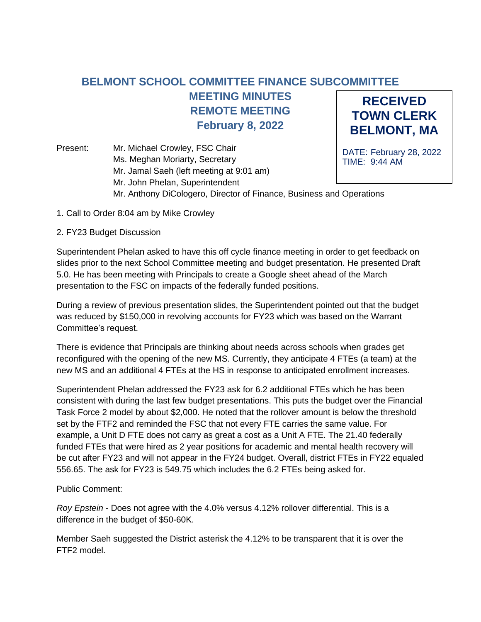## **RECEIVED TOWN CLERK BELMONT, MA BELMONT SCHOOL COMMITTEE FINANCE SUBCOMMITTEE MEETING MINUTES REMOTE MEETING February 8, 2022**

DATE: February 28, 2022 TIME: 9:44 AM Present: Mr. Michael Crowley, FSC Chair Ms. Meghan Moriarty, Secretary Mr. Jamal Saeh (left meeting at 9:01 am) Mr. John Phelan, Superintendent Mr. Anthony DiCologero, Director of Finance, Business and Operations

- 1. Call to Order 8:04 am by Mike Crowley
- 2. FY23 Budget Discussion

Superintendent Phelan asked to have this off cycle finance meeting in order to get feedback on slides prior to the next School Committee meeting and budget presentation. He presented Draft 5.0. He has been meeting with Principals to create a Google sheet ahead of the March presentation to the FSC on impacts of the federally funded positions.

During a review of previous presentation slides, the Superintendent pointed out that the budget was reduced by \$150,000 in revolving accounts for FY23 which was based on the Warrant Committee's request.

There is evidence that Principals are thinking about needs across schools when grades get reconfigured with the opening of the new MS. Currently, they anticipate 4 FTEs (a team) at the new MS and an additional 4 FTEs at the HS in response to anticipated enrollment increases.

Superintendent Phelan addressed the FY23 ask for 6.2 additional FTEs which he has been consistent with during the last few budget presentations. This puts the budget over the Financial Task Force 2 model by about \$2,000. He noted that the rollover amount is below the threshold set by the FTF2 and reminded the FSC that not every FTE carries the same value. For example, a Unit D FTE does not carry as great a cost as a Unit A FTE. The 21.40 federally funded FTEs that were hired as 2 year positions for academic and mental health recovery will be cut after FY23 and will not appear in the FY24 budget. Overall, district FTEs in FY22 equaled 556.65. The ask for FY23 is 549.75 which includes the 6.2 FTEs being asked for.

## Public Comment:

*Roy Epstein -* Does not agree with the 4.0% versus 4.12% rollover differential. This is a difference in the budget of \$50-60K.

Member Saeh suggested the District asterisk the 4.12% to be transparent that it is over the FTF2 model.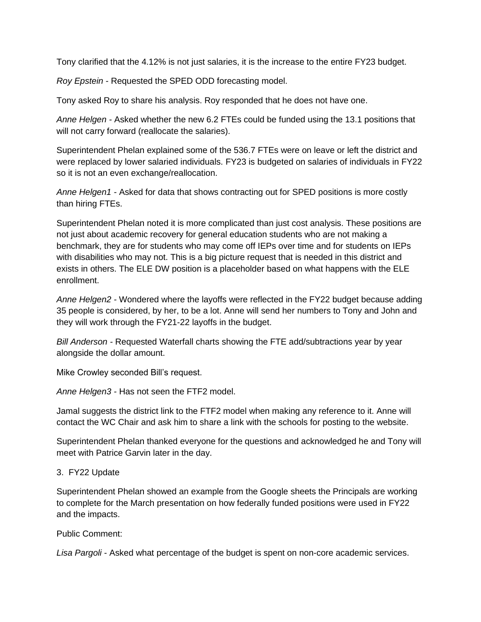Tony clarified that the 4.12% is not just salaries, it is the increase to the entire FY23 budget.

*Roy Epstein -* Requested the SPED ODD forecasting model.

Tony asked Roy to share his analysis. Roy responded that he does not have one.

*Anne Helgen -* Asked whether the new 6.2 FTEs could be funded using the 13.1 positions that will not carry forward (reallocate the salaries).

Superintendent Phelan explained some of the 536.7 FTEs were on leave or left the district and were replaced by lower salaried individuals. FY23 is budgeted on salaries of individuals in FY22 so it is not an even exchange/reallocation.

*Anne Helgen1 -* Asked for data that shows contracting out for SPED positions is more costly than hiring FTEs.

Superintendent Phelan noted it is more complicated than just cost analysis. These positions are not just about academic recovery for general education students who are not making a benchmark, they are for students who may come off IEPs over time and for students on IEPs with disabilities who may not. This is a big picture request that is needed in this district and exists in others. The ELE DW position is a placeholder based on what happens with the ELE enrollment.

*Anne Helgen2 -* Wondered where the layoffs were reflected in the FY22 budget because adding 35 people is considered, by her, to be a lot. Anne will send her numbers to Tony and John and they will work through the FY21-22 layoffs in the budget.

*Bill Anderson -* Requested Waterfall charts showing the FTE add/subtractions year by year alongside the dollar amount.

Mike Crowley seconded Bill's request.

*Anne Helgen3 -* Has not seen the FTF2 model.

Jamal suggests the district link to the FTF2 model when making any reference to it. Anne will contact the WC Chair and ask him to share a link with the schools for posting to the website.

Superintendent Phelan thanked everyone for the questions and acknowledged he and Tony will meet with Patrice Garvin later in the day.

## 3. FY22 Update

Superintendent Phelan showed an example from the Google sheets the Principals are working to complete for the March presentation on how federally funded positions were used in FY22 and the impacts.

Public Comment:

*Lisa Pargoli* - Asked what percentage of the budget is spent on non-core academic services.